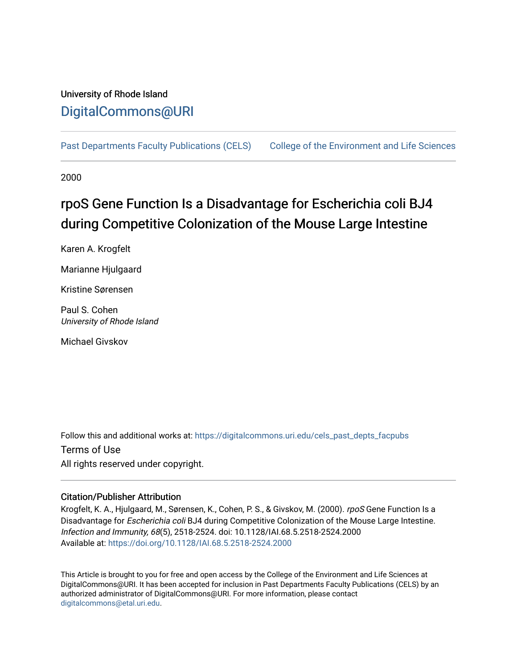## University of Rhode Island [DigitalCommons@URI](https://digitalcommons.uri.edu/)

[Past Departments Faculty Publications \(CELS\)](https://digitalcommons.uri.edu/cels_past_depts_facpubs) [College of the Environment and Life Sciences](https://digitalcommons.uri.edu/cels) 

2000

# rpoS Gene Function Is a Disadvantage for Escherichia coli BJ4 during Competitive Colonization of the Mouse Large Intestine

Karen A. Krogfelt

Marianne Hjulgaard

Kristine Sørensen

Paul S. Cohen University of Rhode Island

Michael Givskov

Follow this and additional works at: [https://digitalcommons.uri.edu/cels\\_past\\_depts\\_facpubs](https://digitalcommons.uri.edu/cels_past_depts_facpubs?utm_source=digitalcommons.uri.edu%2Fcels_past_depts_facpubs%2F79&utm_medium=PDF&utm_campaign=PDFCoverPages) 

Terms of Use All rights reserved under copyright.

### Citation/Publisher Attribution

Krogfelt, K. A., Hjulgaard, M., Sørensen, K., Cohen, P. S., & Givskov, M. (2000). rpoS Gene Function Is a Disadvantage for Escherichia coli BJ4 during Competitive Colonization of the Mouse Large Intestine. Infection and Immunity, 68(5), 2518-2524. doi: 10.1128/IAI.68.5.2518-2524.2000 Available at:<https://doi.org/10.1128/IAI.68.5.2518-2524.2000>

This Article is brought to you for free and open access by the College of the Environment and Life Sciences at DigitalCommons@URI. It has been accepted for inclusion in Past Departments Faculty Publications (CELS) by an authorized administrator of DigitalCommons@URI. For more information, please contact [digitalcommons@etal.uri.edu](mailto:digitalcommons@etal.uri.edu).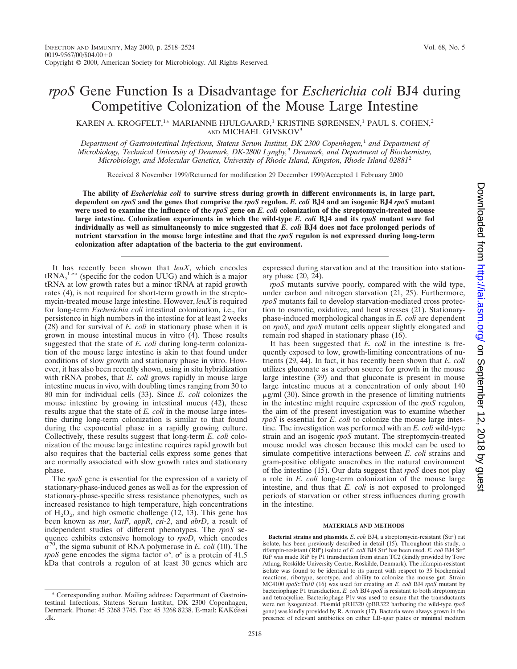# *rpoS* Gene Function Is a Disadvantage for *Escherichia coli* BJ4 during Competitive Colonization of the Mouse Large Intestine

KAREN A. KROGFELT,<sup>1\*</sup> MARIANNE HJULGAARD,<sup>1</sup> KRISTINE SØRENSEN,<sup>1</sup> PAUL S. COHEN,<sup>2</sup> AND MICHAEL GIVSKOV3

*Department of Gastrointestinal Infections, Statens Serum Institut, DK 2300 Copenhagen,*<sup>1</sup> *and Department of Microbiology, Technical University of Denmark, DK-2800 Lyngby,*<sup>3</sup> *Denmark, and Department of Biochemistry, Microbiology, and Molecular Genetics, University of Rhode Island, Kingston, Rhode Island 02881*<sup>2</sup>

Received 8 November 1999/Returned for modification 29 December 1999/Accepted 1 February 2000

**The ability of** *Escherichia coli* **to survive stress during growth in different environments is, in large part, dependent on** *rpoS* **and the genes that comprise the** *rpoS* **regulon.** *E. coli* **BJ4 and an isogenic BJ4** *rpoS* **mutant were used to examine the influence of the** *rpoS* **gene on** *E. coli* **colonization of the streptomycin-treated mouse large intestine. Colonization experiments in which the wild-type** *E. coli* **BJ4 and its** *rpoS* **mutant were fed individually as well as simultaneously to mice suggested that** *E. coli* **BJ4 does not face prolonged periods of nutrient starvation in the mouse large intestine and that the** *rpoS* **regulon is not expressed during long-term colonization after adaptation of the bacteria to the gut environment.**

It has recently been shown that *leuX*, which encodes  $tRNA<sub>5</sub>$  Leu (specific for the codon UUG) and which is a major tRNA at low growth rates but a minor tRNA at rapid growth rates (4), is not required for short-term growth in the streptomycin-treated mouse large intestine. However, *leuX* is required for long-term *Escherichia coli* intestinal colonization, i.e., for persistence in high numbers in the intestine for at least 2 weeks (28) and for survival of *E. coli* in stationary phase when it is grown in mouse intestinal mucus in vitro (4). These results suggested that the state of *E. coli* during long-term colonization of the mouse large intestine is akin to that found under conditions of slow growth and stationary phase in vitro. However, it has also been recently shown, using in situ hybridization with rRNA probes, that *E. coli* grows rapidly in mouse large intestine mucus in vivo, with doubling times ranging from 30 to 80 min for individual cells (33). Since *E. coli* colonizes the mouse intestine by growing in intestinal mucus (42), these results argue that the state of *E. coli* in the mouse large intestine during long-term colonization is similar to that found during the exponential phase in a rapidly growing culture. Collectively, these results suggest that long-term *E. coli* colonization of the mouse large intestine requires rapid growth but also requires that the bacterial cells express some genes that are normally associated with slow growth rates and stationary phase.

The *rpoS* gene is essential for the expression of a variety of stationary-phase-induced genes as well as for the expression of stationary-phase-specific stress resistance phenotypes, such as increased resistance to high temperature, high concentrations of  $H_2O_2$ , and high osmotic challenge (12, 13). This gene has been known as *nur*, *katF*, *appR*, *csi-2*, and *abrD*, a result of independent studies of different phenotypes. The *rpoS* sequence exhibits extensive homology to *rpoD*, which encodes  $\sigma^{70}$ , the sigma subunit of RNA polymerase in *E. coli* (10). The *rpoS* gene encodes the sigma factor  $\sigma^s$ .  $\sigma^s$  is a protein of 41.5 kDa that controls a regulon of at least 30 genes which are

expressed during starvation and at the transition into stationary phase (20, 24).

*rpoS* mutants survive poorly, compared with the wild type, under carbon and nitrogen starvation (21, 25). Furthermore, *rpoS* mutants fail to develop starvation-mediated cross protection to osmotic, oxidative, and heat stresses (21). Stationaryphase-induced morphological changes in *E. coli* are dependent on *rpoS*, and *rpoS* mutant cells appear slightly elongated and remain rod shaped in stationary phase (16).

It has been suggested that *E. coli* in the intestine is frequently exposed to low, growth-limiting concentrations of nutrients (29, 44). In fact, it has recently been shown that *E. coli* utilizes gluconate as a carbon source for growth in the mouse large intestine (39) and that gluconate is present in mouse large intestine mucus at a concentration of only about 140  $\mu$ g/ml (30). Since growth in the presence of limiting nutrients in the intestine might require expression of the *rpoS* regulon, the aim of the present investigation was to examine whether *rpoS* is essential for *E. coli* to colonize the mouse large intestine. The investigation was performed with an *E. coli* wild-type strain and an isogenic *rpoS* mutant. The streptomycin-treated mouse model was chosen because this model can be used to simulate competitive interactions between *E. coli* strains and gram-positive obligate anaerobes in the natural environment of the intestine (15). Our data suggest that *rpoS* does not play a role in *E. coli* long-term colonization of the mouse large intestine, and thus that *E. coli* is not exposed to prolonged periods of starvation or other stress influences during growth in the intestine.

#### **MATERIALS AND METHODS**

Bacterial strains and plasmids. E. coli BJ4, a streptomycin-resistant (Str<sup>r</sup>) rat isolate, has been previously described in detail (15). Throughout this study, a rifampin-resistant (Rif<sup>r</sup> ) isolate of *E. coli* BJ4 Str<sup>r</sup> has been used. *E. coli* BJ4 Str<sup>r</sup> Rifr was made Rif<sup>r</sup> by P1 transduction from strain TC2 (kindly provided by Tove Atlung, Roskilde University Centre, Roskilde, Denmark). The rifampin-resistant isolate was found to be identical to its parent with respect to 35 biochemical reactions, ribotype, serotype, and ability to colonize the mouse gut. Strain MC4100 *rpoS*::Tn*10* (16) was used for creating an *E. coli* BJ4 *rpoS* mutant by bacteriophage P1 transduction. *E. coli* BJ4 *rpoS* is resistant to both streptomycin and tetracycline. Bacteriophage P1v was used to ensure that the transductants were not lysogenized. Plasmid pRH320 (pBR322 harboring the wild-type *rpoS* gene) was kindly provided by R. Arronis (17). Bacteria were always grown in the presence of relevant antibiotics on either LB-agar plates or minimal medium

<sup>\*</sup> Corresponding author. Mailing address: Department of Gastrointestinal Infections, Statens Serum Institut, DK 2300 Copenhagen, Denmark. Phone: 45 3268 3745. Fax: 45 3268 8238. E-mail: KAK@ssi .dk.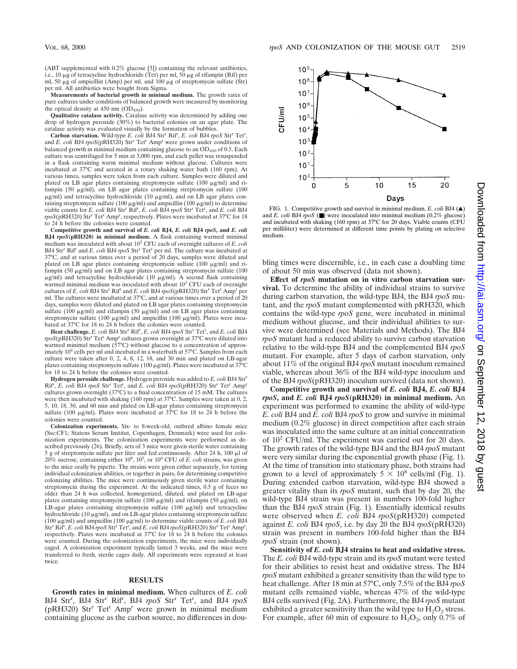**Measurements of bacterial growth in minimal medium.** The growth rates of pure cultures under conditions of balanced growth were measured by monitoring the optical density at 450 nm  $(OD<sub>450</sub>)$ .

**Qualitative catalase activity.** Catalase activity was determined by adding one drop of hydrogen peroxide (30%) to bacterial colonies on an agar plate. The catalase activity was evaluated visually by the formation of bubbles.

Carbon starvation. Wild-type *E. coli* BJ4 Str<sup>r</sup> Rif<sup>r</sup>, *E. coli* BJ4 rpoS Str<sup>r</sup> Tet<sup>r</sup>, and *E. coli* BJ4 *rpoS*(pRH320) Str<sup>r</sup> Tet<sup>r</sup> Amp<sup>r</sup> were grown under conditions of balanced growth in minimal medium containing glucose to an  $OD_{450}$  of 0.5. Each culture was centrifuged for 5 min at 3,000 rpm, and each pellet was resuspended in a flask containing warm minimal medium without glucose. Cultures were incubated at 37°C and aerated in a rotary shaking water bath (160 rpm). At various times, samples were taken from each culture. Samples were diluted and plated on LB agar plates containing streptomycin sulfate (100 µg/ml) and rifampin (50  $\mu$ g/ml), on LB agar plates containing streptomycin sulfate (100  $\mu$ g/ml) and tetracycline hydrochloride (10  $\mu$ g/ml), and on LB agar plates containing streptomycin sulfate (100  $\mu$ g/ml) and ampicillin (100  $\mu$ g/ml) to determine viable counts for *E. coli* BJ4 Str<sup>r</sup> Rifr , *E. coli* BJ4 *rpoS* Str<sup>r</sup> Tetr , and *E. coli* BJ4 rpoS(pRH320) Str<sup>r</sup> Tet<sup>r</sup> Amp<sup>r</sup>, respectively. Plates were incubated at 37°C for 18 to 24 h before the colonies were counted.

**Competitive growth and survival of** *E. coli* **BJ4,** *E. coli* **BJ4** *rpoS***, and** *E. coli* **BJ4** *rpoS***(pRH320) in minimal medium.** A flask containing warmed minimal medium was inoculated with about 10<sup>2</sup> CFU each of overnight cultures of *E. coli* BJ4 Str<sup>r</sup> Rif<sup>r</sup> and *E. coli* BJ4 *rpoS* Str<sup>r</sup> Tet<sup>r</sup> per ml. The culture was incubated at 37°C, and at various times over a period of 20 days, samples were diluted and plated on LB agar plates containing streptomycin sulfate (100  $\mu$ g/ml) and rifampin (50 mg/ml) and on LB agar plates containing streptomycin sulfate (100  $\mu$ g/ml) and tetracycline hydrochloride (10  $\mu$ g/ml). A second flask containing warmed minimal medium was inoculated with about 10<sup>2</sup> CFU each of overnight cultures of *E. coli* BJ4 Str<sup>r</sup> Rifr and *E. coli* BJ4 *rpoS*(pRH320) Str<sup>r</sup> Tet<sup>r</sup> Amp<sup>r</sup> per ml. The cultures were incubated at 37°C, and at various times over a period of 20 days, samples were diluted and plated on LB agar plates containing streptomycin sulfate (100  $\mu$ g/ml) and rifampin (50  $\mu$ g/ml) and on LB agar plates containing streptomycin sulfate (100  $\mu$ g/ml) and ampicillin (100  $\mu$ g/ml). Plates were incubated at 37°C for 18 to 24 h before the colonies were counted.

Heat challenge. *E. coli* BJ4 Str<sup>r</sup> Rif<sup>r</sup>, *E. coli* BJ4  $rpoS$  Str<sup>r</sup> Tet<sup>r</sup>, and *E. coli* BJ4 *rpoS*(pRH320) Str<sup>r</sup> Tet<sup>r</sup> Amp<sup>r</sup> cultures grown overnight at 37°C were diluted into warmed minimal medium  $(57^{\circ}C)$  without glucose to a concentration of approximately 10<sup>4</sup> cells per ml and incubated in a waterbath at 57°C. Samples from each culture were taken after 0, 2, 4, 8, 12, 18, and 30 min and plated on LB-agar plates containing streptomycin sulfate (100  $\mu$ g/ml). Plates were incubated at 37°C for 18 to 24 h before the colonies were counted.

**Hydrogen peroxide challenge.** Hydrogen peroxide was added to *E. coli* BJ4 Str<sup>r</sup> Rif<sup>r</sup>, *E. coli* BJ4 *rpoS* Str<sup>r</sup> Tet<sup>r</sup>, and *E. coli* BJ4 *rpoS*(pRH320) Str<sup>r</sup> Tet<sup>r</sup> Amp<sup>r</sup> cultures grown overnight (37°C) to a final concentration of 15 mM. The cultures were then incubated with shaking (160 rpm) at 37°C. Samples were taken at 0, 2, 5, 10, 18, 30, and 60 min and plated on LB-agar plates containing streptomycin sulfate (100 µg/ml). Plates were incubated at 37°C for 18 to 24 h before the colonies were counted.

**Colonization experiments.** Six- to 8-week-old, outbred albino female mice (Ssc:CF1; Statens Serum Institut, Copenhagen, Denmark) were used for colonization experiments. The colonization experiments were performed as described previously (26). Briefly, sets of 3 mice were given sterile water containing 5 g of streptomycin sulfate per liter and fed continuously. After 24 h, 100  $\mu$ l of  $20\%$  sucrose, containing either  $10^9$ ,  $10^5$ , or  $10^4$  CFU of *E. coli* strains, was given to the mice orally by pipette. The strains were given either separately, for testing individual colonization abilities, or together in pairs, for determining competitive colonizing abilities. The mice were continuously given sterile water containing streptomycin during the experiment. At the indicated times, 0.5 g of feces no older than 24 h was collected, homogenized, diluted, and plated on LB-agar plates containing streptomycin sulfate (100  $\mu$ g/ml) and rifampin (50  $\mu$ g/ml), on LB-agar plates containing streptomycin sulfate  $(100 \mu g/ml)$  and tetracycline hydrochloride (10  $\mu$ g/ml), and on LB-agar plates containing streptomycin sulfate (100  $\mu$ g/ml) and ampicillin (100  $\mu$ g/ml) to determine viable counts of *E. coli* BJ4 Str<sup>r</sup> Rif<sup>r</sup>, *E. coli* BJ4 *rpoS* Str<sup>r</sup> Tet<sup>r</sup>, and *E. coli* BJ4 *rpoS*(pRH320) Str<sup>r</sup> Tet<sup>r</sup> Amp<sup>r</sup>, respectively. Plates were incubated at 37°C for 18 to 24 h before the colonies were counted. During the colonization experiments, the mice were individually caged. A colonization experiment typically lasted 3 weeks, and the mice were transferred to fresh, sterile cages daily. All experiments were repeated at least twice.

#### **RESULTS**

**Growth rates in minimal medium.** When cultures of *E. coli* BJ4 Str<sup>r</sup>, BJ4 Str<sup>r</sup> Rif<sup>r</sup>, BJ4 *rpoS* Str<sup>r</sup> Tet<sup>r</sup>, and BJ4 *rpoS* (pRH320) Strr Tetr Ampr were grown in minimal medium containing glucose as the carbon source, no differences in dou-



FIG. 1. Competitive growth and survival in minimal medium. *E. coli* BJ4  $(\triangle)$ and *E. coli* BJ4 *rpoS* (■) were inoculated into minimal medium (0.2% glucose) and incubated with shaking (160 rpm) at 37°C for 20 days. Viable counts (CFU per milliliter) were determined at different time points by plating on selective medium.

bling times were discernible, i.e., in each case a doubling time of about 50 min was observed (data not shown).

**Effect of** *rpoS* **mutation on in vitro carbon starvation survival.** To determine the ability of individual strains to survive during carbon starvation, the wild-type BJ4, the BJ4 *rpoS* mutant, and the *rpoS* mutant complemented with pRH320, which contains the wild-type *rpoS* gene, were incubated in minimal medium without glucose, and their individual abilities to survive were determined (see Materials and Methods). The BJ4 *rpoS* mutant had a reduced ability to survive carbon starvation relative to the wild-type BJ4 and the complemented BJ4 *rpoS* mutant. For example, after 5 days of carbon starvation, only about 11% of the original BJ4 *rpoS* mutant inoculum remained viable, whereas about 36% of the BJ4 wild-type inoculum and of the BJ4 *rpoS*(pRH320) inoculum survived (data not shown).

**Competitive growth and survival of** *E. coli* **BJ4,** *E. coli* **BJ4** *rpoS***, and** *E. coli* **BJ4** *rpoS***(pRH320) in minimal medium.** An experiment was performed to examine the ability of wild-type *E. coli* BJ4 and *E. coli* BJ4 *rpoS* to grow and survive in minimal medium (0.2% glucose) in direct competition after each strain was inoculated into the same culture at an initial concentration of  $10^2$  CFU/ml. The experiment was carried out for 20 days. The growth rates of the wild-type BJ4 and the BJ4 *rpoS* mutant were very similar during the exponential growth phase (Fig. 1). At the time of transition into stationary phase, both strains had grown to a level of approximately  $5 \times 10^8$  cells/ml (Fig. 1). During extended carbon starvation, wild-type BJ4 showed a greater vitality than its *rpoS* mutant, such that by day 20, the wild-type BJ4 strain was present in numbers 100-fold higher than the BJ4 *rpoS* strain (Fig. 1). Essentially identical results were observed when *E. coli* BJ4 *rpoS*(pRH320) competed against *E. coli* BJ4 *rpoS*, i.e. by day 20 the BJ4 *rpoS*(pRH320) strain was present in numbers 100-fold higher than the BJ4 *rpoS* strain (not shown).

**Sensitivity of** *E. coli* **BJ4 strains to heat and oxidative stress.** The *E. coli* BJ4 wild-type strain and its *rpoS* mutant were tested for their abilities to resist heat and oxidative stress. The BJ4 *rpoS* mutant exhibited a greater sensitivity than the wild type to heat challenge. After 18 min at 57°C, only 7.5% of the BJ4 *rpoS* mutant cells remained viable, whereas 47% of the wild-type BJ4 cells survived (Fig. 2A). Furthermore, the BJ4 *rpoS* mutant exhibited a greater sensitivity than the wild type to  $H_2O_2$  stress. For example, after 60 min of exposure to  $H_2O_2$ , only 0.7% of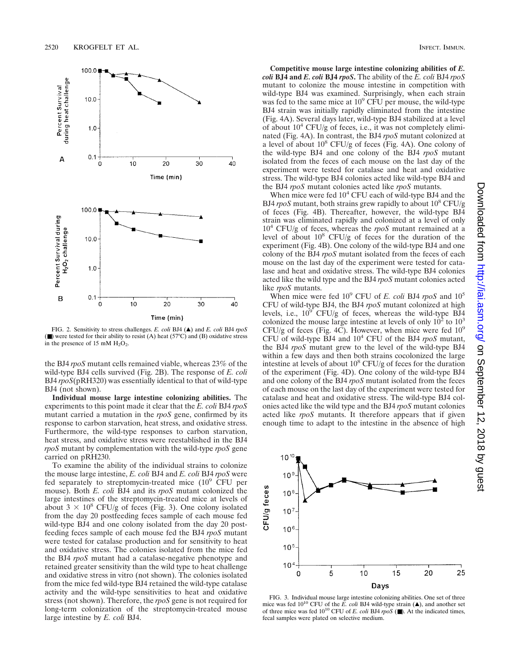

FIG. 2. Sensitivity to stress challenges. *E. coli* BJ4 (A) and *E. coli* BJ4  $rpos$ (■) were tested for their ability to resist (A) heat (57°C) and (B) oxidative stress in the presence of 15 mM  $H_2O_2$ .

the BJ4 *rpoS* mutant cells remained viable, whereas 23% of the wild-type BJ4 cells survived (Fig. 2B). The response of *E. coli* BJ4 *rpoS*(pRH320) was essentially identical to that of wild-type BJ4 (not shown).

**Individual mouse large intestine colonizing abilities.** The experiments to this point made it clear that the *E. coli* BJ4 *rpoS* mutant carried a mutation in the *rpoS* gene, confirmed by its response to carbon starvation, heat stress, and oxidative stress. Furthermore, the wild-type responses to carbon starvation, heat stress, and oxidative stress were reestablished in the BJ4 *rpoS* mutant by complementation with the wild-type *rpoS* gene carried on pRH230.

To examine the ability of the individual strains to colonize the mouse large intestine, *E. coli* BJ4 and *E. coli* BJ4 *rpoS* were fed separately to streptomycin-treated mice  $(10^9 \text{ CFU per})$ mouse). Both *E. coli* BJ4 and its *rpoS* mutant colonized the large intestines of the streptomycin-treated mice at levels of about  $3 \times 10^8$  CFU/g of feces (Fig. 3). One colony isolated from the day 20 postfeeding feces sample of each mouse fed wild-type BJ4 and one colony isolated from the day 20 postfeeding feces sample of each mouse fed the BJ4 *rpoS* mutant were tested for catalase production and for sensitivity to heat and oxidative stress. The colonies isolated from the mice fed the BJ4 *rpoS* mutant had a catalase-negative phenotype and retained greater sensitivity than the wild type to heat challenge and oxidative stress in vitro (not shown). The colonies isolated from the mice fed wild-type BJ4 retained the wild-type catalase activity and the wild-type sensitivities to heat and oxidative stress (not shown). Therefore, the *rpoS* gene is not required for long-term colonization of the streptomycin-treated mouse large intestine by *E. coli* BJ4.

**Competitive mouse large intestine colonizing abilities of** *E. coli* **BJ4 and** *E. coli* **BJ4** *rpoS***.** The ability of the *E. coli* BJ4 *rpoS* mutant to colonize the mouse intestine in competition with wild-type BJ4 was examined. Surprisingly, when each strain was fed to the same mice at 10<sup>9</sup> CFU per mouse, the wild-type BJ4 strain was initially rapidly eliminated from the intestine (Fig. 4A). Several days later, wild-type BJ4 stabilized at a level of about  $10^4$  CFU/g of feces, i.e., it was not completely eliminated (Fig. 4A). In contrast, the BJ4 *rpoS* mutant colonized at a level of about  $10^8$  CFU/g of feces (Fig. 4A). One colony of the wild-type BJ4 and one colony of the BJ4 *rpoS* mutant isolated from the feces of each mouse on the last day of the experiment were tested for catalase and heat and oxidative stress. The wild-type BJ4 colonies acted like wild-type BJ4 and the BJ4 *rpoS* mutant colonies acted like *rpoS* mutants.

When mice were fed  $10<sup>4</sup>$  CFU each of wild-type BJ4 and the BJ4 *rpoS* mutant, both strains grew rapidly to about 10<sup>8</sup> CFU/g of feces (Fig. 4B). Thereafter, however, the wild-type BJ4 strain was eliminated rapidly and colonized at a level of only 104 CFU/g of feces, whereas the *rpoS* mutant remained at a level of about  $10^8$  CFU/g of feces for the duration of the experiment (Fig. 4B). One colony of the wild-type BJ4 and one colony of the BJ4 *rpoS* mutant isolated from the feces of each mouse on the last day of the experiment were tested for catalase and heat and oxidative stress. The wild-type BJ4 colonies acted like the wild type and the BJ4 *rpoS* mutant colonies acted like *rpoS* mutants.

When mice were fed 10<sup>9</sup> CFU of *E. coli* BJ4 *rpoS* and 10<sup>5</sup> CFU of wild-type BJ4, the BJ4 *rpoS* mutant colonized at high levels, i.e.,  $10^9$  CFU/g of feces, whereas the wild-type BJ4 colonized the mouse large intestine at levels of only  $10^2$  to  $10^3$ CFU/g of feces (Fig. 4C). However, when mice were fed  $10^9$ CFU of wild-type BJ4 and 104 CFU of the BJ4 *rpoS* mutant, the BJ4 *rpoS* mutant grew to the level of the wild-type BJ4 within a few days and then both strains cocolonized the large intestine at levels of about  $10^8$  CFU/g of feces for the duration of the experiment (Fig. 4D). One colony of the wild-type BJ4 and one colony of the BJ4 *rpoS* mutant isolated from the feces of each mouse on the last day of the experiment were tested for catalase and heat and oxidative stress. The wild-type BJ4 colonies acted like the wild type and the BJ4 *rpoS* mutant colonies acted like *rpoS* mutants. It therefore appears that if given enough time to adapt to the intestine in the absence of high



FIG. 3. Individual mouse large intestine colonizing abilities. One set of three mice was fed  $10^{10}$  CFU of the  $\overline{E}$ . *coli* BJ4 wild-type strain  $(\triangle)$ , and another set of three mice was fed  $10^{10}$  CFU of *E. coli* BJ4  $rpoS$  ( $\blacksquare$ ). At the indicated times, fecal samples were plated on selective medium.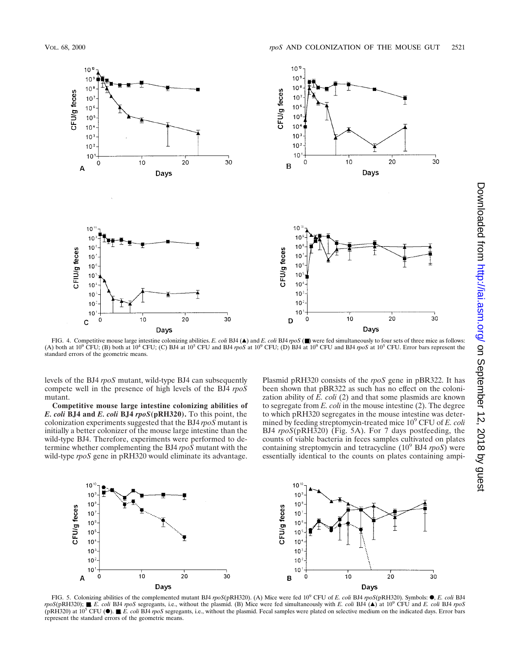

FIG. 4. Competitive mouse large intestine colonizing abilities. *E. coli* BJ4 (▲) and *E. coli* BJ4 *rpoS* (■) were fed simultaneously to four sets of three mice as follows: (A) both at 10<sup>9</sup> CFU; (B) both at 10<sup>4</sup> CFU; (C) BJ4 at 10<sup>5</sup> CFU and BJ4 *rpoS* at 10<sup>9</sup> CFU; (D) BJ4 at 10<sup>9</sup> CFU and BJ4 *rpoS* at 10<sup>5</sup> CFU. Error bars represent the standard errors of the geometric means.

levels of the BJ4 *rpoS* mutant, wild-type BJ4 can subsequently compete well in the presence of high levels of the BJ4 *rpoS* mutant.

**Competitive mouse large intestine colonizing abilities of** *E. coli* **BJ4 and** *E. coli* **BJ4** *rpoS***(pRH320).** To this point, the colonization experiments suggested that the BJ4 *rpoS* mutant is initially a better colonizer of the mouse large intestine than the wild-type BJ4. Therefore, experiments were performed to determine whether complementing the BJ4 *rpoS* mutant with the wild-type *rpoS* gene in pRH320 would eliminate its advantage.

Plasmid pRH320 consists of the *rpoS* gene in pBR322. It has been shown that pBR322 as such has no effect on the colonization ability of  $\overline{E}$ . *coli* (2) and that some plasmids are known to segregate from *E. coli* in the mouse intestine (2). The degree to which pRH320 segregates in the mouse intestine was determined by feeding streptomycin-treated mice 109 CFU of *E. coli* BJ4 *rpoS*(pRH320) (Fig. 5A). For 7 days postfeeding, the counts of viable bacteria in feces samples cultivated on plates containing streptomycin and tetracycline (109 BJ4 *rpoS*) were essentially identical to the counts on plates containing ampi-



FIG. 5. Colonizing abilities of the complemented mutant BJ4 *rpoS*(pRH320). (A) Mice were fed 10<sup>9</sup> CFU of *E. coli* BJ4 *rpoS*(pRH320). Symbols: F, *E. coli* BJ4  $r \cdot p \cdot \frac{\partial S}{\partial x}$  **.** *F. coli* BJ4 *rpoS* segregants, i.e., without the plasmid. (B) Mice were fed simultaneously with *E. coli* BJ4  $($ **A**) at 10<sup>9</sup> CFU and *E. coli* BJ4  $r \cdot p \cdot \frac{\partial S}{\partial x}$ (pRH320) at 10<sup>5</sup> CFU (F). ■, *E. coli* BJ4 *rpoS* segregants, i.e., without the plasmid. Fecal samples were plated on selective medium on the indicated days. Error bars represent the standard errors of the geometric means.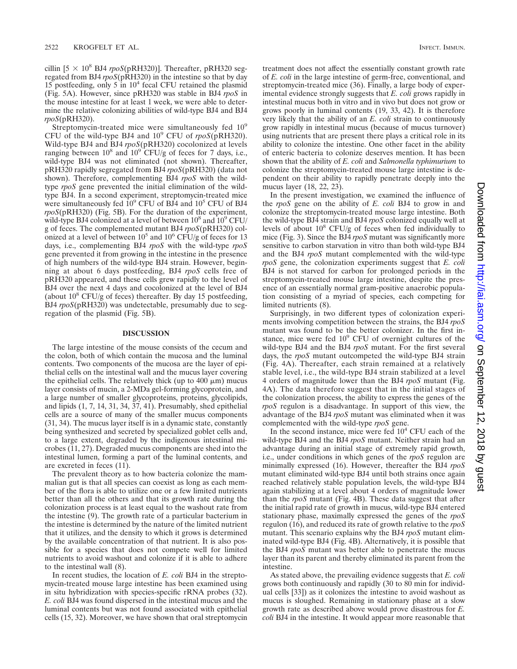cillin  $[5 \times 10^8 \text{ BJ4}$  *rpoS*(pRH320)]. Thereafter, pRH320 segregated from BJ4 *rpoS*(pRH320) in the intestine so that by day 15 postfeeding, only 5 in  $10<sup>4</sup>$  fecal CFU retained the plasmid (Fig. 5A). However, since pRH320 was stable in BJ4 *rpoS* in the mouse intestine for at least 1 week, we were able to determine the relative colonizing abilities of wild-type BJ4 and BJ4 *rpoS*(pRH320).

Streptomycin-treated mice were simultaneously fed  $10^9$ CFU of the wild-type BJ4 and 10<sup>9</sup> CFU of *rpoS*(pRH320). Wild-type BJ4 and BJ4 *rpoS*(pRH320) cocolonized at levels ranging between  $10^8$  and  $10^9$  CFU/g of feces for 7 days, i.e., wild-type BJ4 was not eliminated (not shown). Thereafter, pRH320 rapidly segregated from BJ4 *rpoS*(pRH320) (data not shown). Therefore, complementing BJ4 *rpoS* with the wildtype *rpoS* gene prevented the initial elimination of the wildtype BJ4. In a second experiment, streptomycin-treated mice were simultaneously fed  $10^9$  CFU of BJ4 and  $10^5$  CFU of BJ4 *rpoS*(pRH320) (Fig. 5B). For the duration of the experiment, wild-type BJ4 colonized at a level of between  $10^8$  and  $10^9$  CFU/ g of feces. The complemented mutant BJ4 *rpoS*(pRH320) colonized at a level of between  $10^5$  and  $10^6$  CFU/g of feces for 13 days, i.e., complementing BJ4 *rpoS* with the wild-type *rpoS* gene prevented it from growing in the intestine in the presence of high numbers of the wild-type BJ4 strain. However, beginning at about 6 days postfeeding, BJ4 *rpoS* cells free of pRH320 appeared, and these cells grew rapidly to the level of BJ4 over the next 4 days and cocolonized at the level of BJ4 (about  $10^8$  CFU/g of feces) thereafter. By day 15 postfeeding, BJ4 *rpoS*(pRH320) was undetectable, presumably due to segregation of the plasmid (Fig. 5B).

#### **DISCUSSION**

The large intestine of the mouse consists of the cecum and the colon, both of which contain the mucosa and the luminal contents. Two components of the mucosa are the layer of epithelial cells on the intestinal wall and the mucus layer covering the epithelial cells. The relatively thick (up to  $400 \mu m$ ) mucus layer consists of mucin, a 2-MDa gel-forming glycoprotein, and a large number of smaller glycoproteins, proteins, glycolipids, and lipids (1, 7, 14, 31, 34, 37, 41). Presumably, shed epithelial cells are a source of many of the smaller mucus components (31, 34). The mucus layer itself is in a dynamic state, constantly being synthesized and secreted by specialized goblet cells and, to a large extent, degraded by the indigenous intestinal microbes (11, 27). Degraded mucus components are shed into the intestinal lumen, forming a part of the luminal contents, and are excreted in feces (11).

The prevalent theory as to how bacteria colonize the mammalian gut is that all species can coexist as long as each member of the flora is able to utilize one or a few limited nutrients better than all the others and that its growth rate during the colonization process is at least equal to the washout rate from the intestine (9). The growth rate of a particular bacterium in the intestine is determined by the nature of the limited nutrient that it utilizes, and the density to which it grows is determined by the available concentration of that nutrient. It is also possible for a species that does not compete well for limited nutrients to avoid washout and colonize if it is able to adhere to the intestinal wall (8).

In recent studies, the location of *E. coli* BJ4 in the streptomycin-treated mouse large intestine has been examined using in situ hybridization with species-specific rRNA probes (32). *E. coli* BJ4 was found dispersed in the intestinal mucus and the luminal contents but was not found associated with epithelial cells (15, 32). Moreover, we have shown that oral streptomycin treatment does not affect the essentially constant growth rate of *E. coli* in the large intestine of germ-free, conventional, and streptomycin-treated mice (36). Finally, a large body of experimental evidence strongly suggests that *E. coli* grows rapidly in intestinal mucus both in vitro and in vivo but does not grow or grows poorly in luminal contents (19, 33, 42). It is therefore very likely that the ability of an *E. coli* strain to continuously grow rapidly in intestinal mucus (because of mucus turnover) using nutrients that are present there plays a critical role in its ability to colonize the intestine. One other facet in the ability of enteric bacteria to colonize deserves mention. It has been shown that the ability of *E. coli* and *Salmonella typhimurium* to colonize the streptomycin-treated mouse large intestine is dependent on their ability to rapidly penetrate deeply into the mucus layer (18, 22, 23).

In the present investigation, we examined the influence of the *rpoS* gene on the ability of *E. coli* BJ4 to grow in and colonize the streptomycin-treated mouse large intestine. Both the wild-type BJ4 strain and BJ4 *rpoS* colonized equally well at levels of about  $10^8$  CFU/g of feces when fed individually to mice (Fig. 3). Since the BJ4 *rpoS* mutant was significantly more sensitive to carbon starvation in vitro than both wild-type BJ4 and the BJ4 *rpoS* mutant complemented with the wild-type *rpoS* gene, the colonization experiments suggest that *E. coli* BJ4 is not starved for carbon for prolonged periods in the streptomycin-treated mouse large intestine, despite the presence of an essentially normal gram-positive anaerobic population consisting of a myriad of species, each competing for limited nutrients (8).

Surprisingly, in two different types of colonization experiments involving competition between the strains, the BJ4 *rpoS* mutant was found to be the better colonizer. In the first instance, mice were fed  $10<sup>9</sup>$  CFU of overnight cultures of the wild-type BJ4 and the BJ4 *rpoS* mutant. For the first several days, the *rpoS* mutant outcompeted the wild-type BJ4 strain (Fig. 4A). Thereafter, each strain remained at a relatively stable level, i.e., the wild-type BJ4 strain stabilized at a level 4 orders of magnitude lower than the BJ4 *rpoS* mutant (Fig. 4A). The data therefore suggest that in the initial stages of the colonization process, the ability to express the genes of the *rpoS* regulon is a disadvantage. In support of this view, the advantage of the BJ4 *rpoS* mutant was eliminated when it was complemented with the wild-type *rpoS* gene.

In the second instance, mice were fed  $10<sup>4</sup>$  CFU each of the wild-type BJ4 and the BJ4 *rpoS* mutant. Neither strain had an advantage during an initial stage of extremely rapid growth, i.e., under conditions in which genes of the *rpoS* regulon are minimally expressed (16). However, thereafter the BJ4 *rpoS* mutant eliminated wild-type BJ4 until both strains once again reached relatively stable population levels, the wild-type BJ4 again stabilizing at a level about 4 orders of magnitude lower than the *rpoS* mutant (Fig. 4B). These data suggest that after the initial rapid rate of growth in mucus, wild-type BJ4 entered stationary phase, maximally expressed the genes of the *rpoS* regulon (16), and reduced its rate of growth relative to the *rpoS* mutant. This scenario explains why the BJ4 *rpoS* mutant eliminated wild-type BJ4 (Fig. 4B). Alternatively, it is possible that the BJ4 *rpoS* mutant was better able to penetrate the mucus layer than its parent and thereby eliminated its parent from the intestine.

As stated above, the prevailing evidence suggests that *E. coli* grows both continuously and rapidly (30 to 80 min for individual cells [33]) as it colonizes the intestine to avoid washout as mucus is sloughed. Remaining in stationary phase at a slow growth rate as described above would prove disastrous for *E. coli* BJ4 in the intestine. It would appear more reasonable that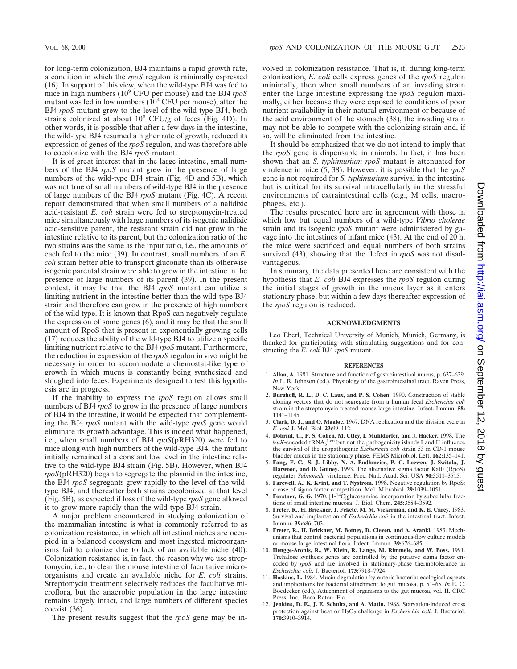for long-term colonization, BJ4 maintains a rapid growth rate, a condition in which the *rpoS* regulon is minimally expressed (16). In support of this view, when the wild-type BJ4 was fed to mice in high numbers (109 CFU per mouse) and the BJ4 *rpoS* mutant was fed in low numbers  $(10^4 \text{ CFU per mouse})$ , after the BJ4 *rpoS* mutant grew to the level of the wild-type BJ4, both strains colonized at about  $10^8$  CFU/g of feces (Fig. 4D). In other words, it is possible that after a few days in the intestine, the wild-type BJ4 resumed a higher rate of growth, reduced its expression of genes of the *rpoS* regulon, and was therefore able to cocolonize with the BJ4 *rpoS* mutant.

It is of great interest that in the large intestine, small numbers of the BJ4 *rpoS* mutant grew in the presence of large numbers of the wild-type BJ4 strain (Fig. 4D and 5B), which was not true of small numbers of wild-type BJ4 in the presence of large numbers of the BJ4 *rpoS* mutant (Fig. 4C). A recent report demonstrated that when small numbers of a nalidixic acid-resistant *E. coli* strain were fed to streptomycin-treated mice simultaneously with large numbers of its isogenic nalidixic acid-sensitive parent, the resistant strain did not grow in the intestine relative to its parent, but the colonization ratio of the two strains was the same as the input ratio, i.e., the amounts of each fed to the mice (39). In contrast, small numbers of an *E. coli* strain better able to transport gluconate than its otherwise isogenic parental strain were able to grow in the intestine in the presence of large numbers of its parent (39). In the present context, it may be that the BJ4 *rpoS* mutant can utilize a limiting nutrient in the intestine better than the wild-type BJ4 strain and therefore can grow in the presence of high numbers of the wild type. It is known that RpoS can negatively regulate the expression of some genes (6), and it may be that the small amount of RpoS that is present in exponentially growing cells (17) reduces the ability of the wild-type BJ4 to utilize a specific limiting nutrient relative to the BJ4 *rpoS* mutant. Furthermore, the reduction in expression of the *rpoS* regulon in vivo might be necessary in order to accommodate a chemostat-like type of growth in which mucus is constantly being synthesized and sloughed into feces. Experiments designed to test this hypothesis are in progress.

If the inability to express the *rpoS* regulon allows small numbers of BJ4 *rpoS* to grow in the presence of large numbers of BJ4 in the intestine, it would be expected that complementing the BJ4 *rpoS* mutant with the wild-type *rpoS* gene would eliminate its growth advantage. This is indeed what happened, i.e., when small numbers of BJ4 *rpoS*(pRH320) were fed to mice along with high numbers of the wild-type BJ4, the mutant initially remained at a constant low level in the intestine relative to the wild-type BJ4 strain (Fig. 5B). However, when BJ4 *rpoS*(pRH320) began to segregate the plasmid in the intestine, the BJ4 *rpoS* segregants grew rapidly to the level of the wildtype BJ4, and thereafter both strains cocolonized at that level (Fig. 5B), as expected if loss of the wild-type *rpoS* gene allowed it to grow more rapidly than the wild-type BJ4 strain.

A major problem encountered in studying colonization of the mammalian intestine is what is commonly referred to as colonization resistance, in which all intestinal niches are occupied in a balanced ecosystem and most ingested microorganisms fail to colonize due to lack of an available niche (40). Colonization resistance is, in fact, the reason why we use streptomycin, i.e., to clear the mouse intestine of facultative microorganisms and create an available niche for *E. coli* strains. Streptomycin treatment selectively reduces the facultative microflora, but the anaerobic population in the large intestine remains largely intact, and large numbers of different species coexist (36).

The present results suggest that the *rpoS* gene may be in-

volved in colonization resistance. That is, if, during long-term colonization, *E. coli* cells express genes of the *rpoS* regulon minimally, then when small numbers of an invading strain enter the large intestine expressing the *rpoS* regulon maximally, either because they were exposed to conditions of poor nutrient availability in their natural environment or because of the acid environment of the stomach (38), the invading strain may not be able to compete with the colonizing strain and, if so, will be eliminated from the intestine.

It should be emphasized that we do not intend to imply that the *rpoS* gene is dispensable in animals. In fact, it has been shown that an *S. typhimurium rpoS* mutant is attenuated for virulence in mice (5, 38). However, it is possible that the *rpoS* gene is not required for *S. typhimurium* survival in the intestine but is critical for its survival intracellularly in the stressful environments of extraintestinal cells (e.g., M cells, macrophages, etc.).

The results presented here are in agreement with those in which low but equal numbers of a wild-type *Vibrio cholerae* strain and its isogenic *rpoS* mutant were administered by gavage into the intestines of infant mice (43). At the end of 20 h, the mice were sacrificed and equal numbers of both strains survived (43), showing that the defect in *rpoS* was not disadvantageous.

In summary, the data presented here are consistent with the hypothesis that *E. coli* BJ4 expresses the *rpoS* regulon during the initial stages of growth in the mucus layer as it enters stationary phase, but within a few days thereafter expression of the *rpoS* regulon is reduced.

#### **ACKNOWLEDGMENTS**

Leo Eberl, Technical University of Munich, Munich, Germany, is thanked for participating with stimulating suggestions and for constructing the *E. coli* BJ4 *rpoS* mutant.

#### **REFERENCES**

- 1. **Allan, A.** 1981. Structure and function of gastrointestinal mucus, p. 637–639. *In* L. R. Johnson (ed.), Physiology of the gastrointestinal tract. Raven Press, New York.
- 2. **Burghoff, R. L., D. C. Laux, and P. S. Cohen.** 1990. Construction of stable cloning vectors that do not segregate from a human fecal *Escherichia coli* strain in the streptomycin-treated mouse large intestine. Infect. Immun. **58:** 1141–1145.
- 3. **Clark, D. J., and O. Maaløe.** 1967. DNA replication and the division cycle in *E. coli* J. Mol. Biol. **23:**99–112.
- 4. **Dobrint, U., P. S. Cohen, M. Utley, I. Mu¨hldorfer, and J. Hacker.** 1998. The  $leuX$ -encoded tRNA<sub>5</sub><sup>Leu</sup> but not the pathogenicity islands I and II influence the survival of the uropathogenic *Escherichia coli* strain 53 in CD-1 mouse bladder mucus in the stationary phase. FEMS Microbiol. Lett. **162:**135–141.
- 5. **Fang, F. C., S. J. Libby, N. A. Budhmeier, P. C. Loewen, J. Switala, J.** Harwood, and D. Guiney. 1993. The alternative sigma factor KatF (RpoS) regulates *Salmonella* virulence. Proc. Natl. Acad. Sci. USA **90:**3511–3515.
- 6. **Farewell, A., K. Kvint, and T. Nystrom.** 1998. Negative regulation by RpoS: a case of sigma factor competition. Mol. Microbiol. **29:**1039–1051.
- 7. **Forstner, G. G.** 1970. [1-14C]glucosamine incorporation by subcellular fractions of small intestine mucosa. J. Biol. Chem. **245:**3584–3592.
- 8. **Freter, R., H. Brickner, J. Fekete, M. M. Vickerman, and K. E. Carey.** 1983. Survival and implantation of *Escherichia coli* in the intestinal tract. Infect. Immun. **39:**686–703.
- 9. **Freter, R., H. Brickner, M. Botney, D. Cleven, and A. Arankl.** 1983. Mechanisms that control bacterial populations in continuous-flow culture models or mouse large intestinal flora. Infect. Immun. **39:**676–685.
- 10. **Hengge-Aronis, R., W. Klein, R. Lange, M. Rimmele, and W. Boss.** 1991. Trehalose synthesis genes are controlled by the putative sigma factor encoded by *rpoS* and are involved in stationary-phase thermotolerance in *Escherichia coli*. J. Bacteriol. **173:**7918–7924.
- 11. **Hoskins, L.** 1984. Mucin degradation by enteric bacteria: ecological aspects and implications for bacterial attachment to gut mucosa, p. 51–65. *In* E. C. Boedecker (ed.), Attachment of organisms to the gut mucosa, vol. II. CRC Press, Inc., Boca Raton, Fla.
- 12. **Jenkins, D. E., J. E. Schultz, and A. Matin.** 1988. Starvation-induced cross protection against heat or H<sub>2</sub>O<sub>2</sub> challenge in *Escherichia coli*. J. Bacteriol. **170:**3910–3914.